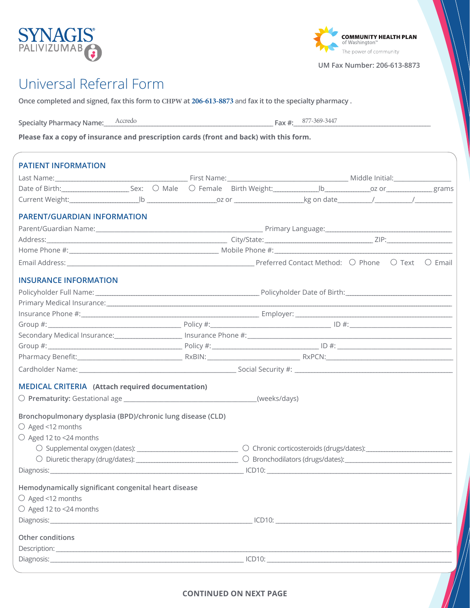## Universal Referral Form

Specialty Pharmacy Name: <u>Accredo</u>

**Once completed and signed, fax this form to CHPW at 206-613-8873** and **fax it to the specialty pharmacy .**

**Please fax a copy of insurance and prescription cards (front and back) with this form.**

| <b>PATIENT INFORMATION</b>                                                       |  |                                                                                                                                                                                                                                |  |  |  |  |  |  |
|----------------------------------------------------------------------------------|--|--------------------------------------------------------------------------------------------------------------------------------------------------------------------------------------------------------------------------------|--|--|--|--|--|--|
|                                                                                  |  |                                                                                                                                                                                                                                |  |  |  |  |  |  |
| Date of Birth: Sex: O Male O Female Birth Weight: University or or or grams      |  |                                                                                                                                                                                                                                |  |  |  |  |  |  |
|                                                                                  |  |                                                                                                                                                                                                                                |  |  |  |  |  |  |
| <b>PARENT/GUARDIAN INFORMATION</b>                                               |  |                                                                                                                                                                                                                                |  |  |  |  |  |  |
|                                                                                  |  |                                                                                                                                                                                                                                |  |  |  |  |  |  |
|                                                                                  |  |                                                                                                                                                                                                                                |  |  |  |  |  |  |
|                                                                                  |  |                                                                                                                                                                                                                                |  |  |  |  |  |  |
|                                                                                  |  |                                                                                                                                                                                                                                |  |  |  |  |  |  |
| <b>INSURANCE INFORMATION</b>                                                     |  |                                                                                                                                                                                                                                |  |  |  |  |  |  |
|                                                                                  |  | Policyholder Full Name: 1980 1990 1990 Policyholder Date of Birth: 1990 1991 Policyholder Date of Birth:                                                                                                                       |  |  |  |  |  |  |
|                                                                                  |  |                                                                                                                                                                                                                                |  |  |  |  |  |  |
|                                                                                  |  | Primary Medical Insurance: contact the contract of the contract of the contract of the contract of the contract of the contract of the contract of the contract of the contract of the contract of the contract of the contrac |  |  |  |  |  |  |
|                                                                                  |  |                                                                                                                                                                                                                                |  |  |  |  |  |  |
|                                                                                  |  |                                                                                                                                                                                                                                |  |  |  |  |  |  |
|                                                                                  |  |                                                                                                                                                                                                                                |  |  |  |  |  |  |
|                                                                                  |  |                                                                                                                                                                                                                                |  |  |  |  |  |  |
|                                                                                  |  |                                                                                                                                                                                                                                |  |  |  |  |  |  |
| <b>MEDICAL CRITERIA</b> (Attach required documentation)                          |  |                                                                                                                                                                                                                                |  |  |  |  |  |  |
|                                                                                  |  |                                                                                                                                                                                                                                |  |  |  |  |  |  |
| Bronchopulmonary dysplasia (BPD)/chronic lung disease (CLD)<br>○ Aged <12 months |  |                                                                                                                                                                                                                                |  |  |  |  |  |  |
| ○ Aged 12 to <24 months                                                          |  |                                                                                                                                                                                                                                |  |  |  |  |  |  |
|                                                                                  |  |                                                                                                                                                                                                                                |  |  |  |  |  |  |
|                                                                                  |  |                                                                                                                                                                                                                                |  |  |  |  |  |  |
|                                                                                  |  |                                                                                                                                                                                                                                |  |  |  |  |  |  |
| Hemodynamically significant congenital heart disease                             |  |                                                                                                                                                                                                                                |  |  |  |  |  |  |
| $\bigcirc$ Aged <12 months                                                       |  |                                                                                                                                                                                                                                |  |  |  |  |  |  |
| $\bigcirc$ Aged 12 to <24 months                                                 |  |                                                                                                                                                                                                                                |  |  |  |  |  |  |
|                                                                                  |  |                                                                                                                                                                                                                                |  |  |  |  |  |  |
| Other conditions                                                                 |  |                                                                                                                                                                                                                                |  |  |  |  |  |  |
|                                                                                  |  |                                                                                                                                                                                                                                |  |  |  |  |  |  |
|                                                                                  |  |                                                                                                                                                                                                                                |  |  |  |  |  |  |
|                                                                                  |  |                                                                                                                                                                                                                                |  |  |  |  |  |  |





**UM Fax Number: 206-613-8873**

Fax  $\#$ : 877-369-3447